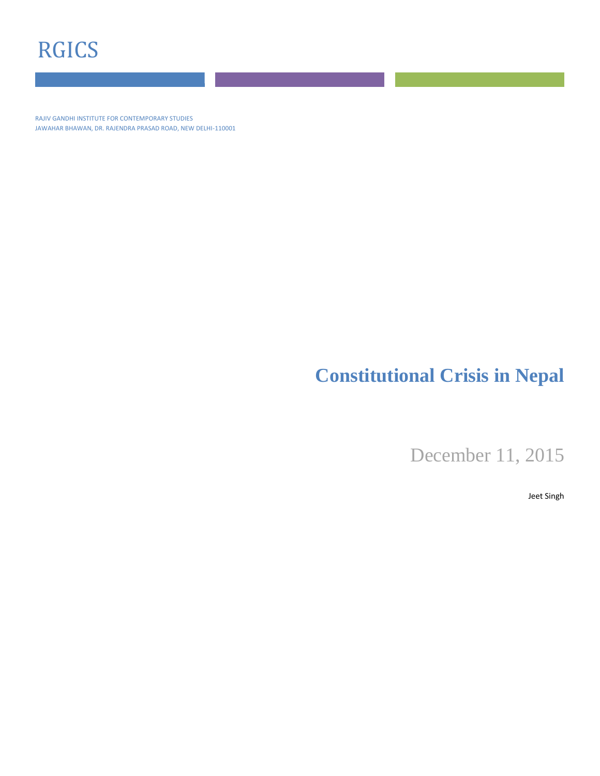# RGICS

RAJIV GANDHI INSTITUTE FOR CONTEMPORARY STUDIES JAWAHAR BHAWAN, DR. RAJENDRA PRASAD ROAD, NEW DELHI-110001

## **Constitutional Crisis in Nepal**

December 11, 2015

Jeet Singh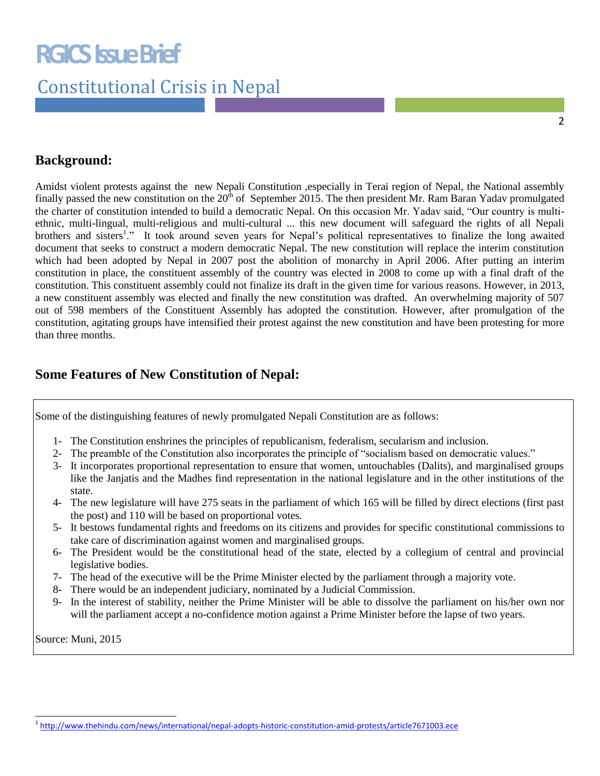# **RGICS Issue Brief**

## Constitutional Crisis in Nepal

### **Background:**

Amidst violent protests against the new Nepali Constitution ,especially in Terai region of Nepal, the National assembly finally passed the new constitution on the  $20<sup>th</sup>$  of September 2015. The then president Mr. Ram Baran Yadav promulgated the charter of constitution intended to build a democratic Nepal. On this occasion Mr. Yadav said, "Our country is multiethnic, multi-lingual, multi-religious and multi-cultural ... this new document will safeguard the rights of all Nepali brothers and sisters<sup>1</sup>." It took around seven years for Nepal's political representatives to finalize the long awaited document that seeks to construct a modern democratic Nepal. The new constitution will replace the interim constitution which had been adopted by Nepal in 2007 post the abolition of monarchy in April 2006. After putting an interim constitution in place, the constituent assembly of the country was elected in 2008 to come up with a final draft of the constitution. This constituent assembly could not finalize its draft in the given time for various reasons. However, in 2013, a new constituent assembly was elected and finally the new constitution was drafted. An overwhelming majority of 507 out of 598 members of the Constituent Assembly has adopted the constitution. However, after promulgation of the constitution, agitating groups have intensified their protest against the new constitution and have been protesting for more than three months.

### **Some Features of New Constitution of Nepal:**

Some of the distinguishing features of newly promulgated Nepali Constitution are as follows:

- 1- The Constitution enshrines the principles of republicanism, federalism, secularism and inclusion.
- 2- The preamble of the Constitution also incorporates the principle of "socialism based on democratic values."
- 3- It incorporates proportional representation to ensure that women, untouchables (Dalits), and marginalised groups like the Janjatis and the Madhes find representation in the national legislature and in the other institutions of the state.
- 4- The new legislature will have 275 seats in the parliament of which 165 will be filled by direct elections (first past the post) and 110 will be based on proportional votes.
- 5- It bestows fundamental rights and freedoms on its citizens and provides for specific constitutional commissions to take care of discrimination against women and marginalised groups.
- 6- The President would be the constitutional head of the state, elected by a collegium of central and provincial legislative bodies.
- 7- The head of the executive will be the Prime Minister elected by the parliament through a majority vote.
- 8- There would be an independent judiciary, nominated by a Judicial Commission.
- 9- In the interest of stability, neither the Prime Minister will be able to dissolve the parliament on his/her own nor will the parliament accept a no-confidence motion against a Prime Minister before the lapse of two years.

Source: Muni, 2015

 $\overline{a}$ 

<sup>&</sup>lt;sup>1</sup><http://www.thehindu.com/news/international/nepal-adopts-historic-constitution-amid-protests/article7671003.ece>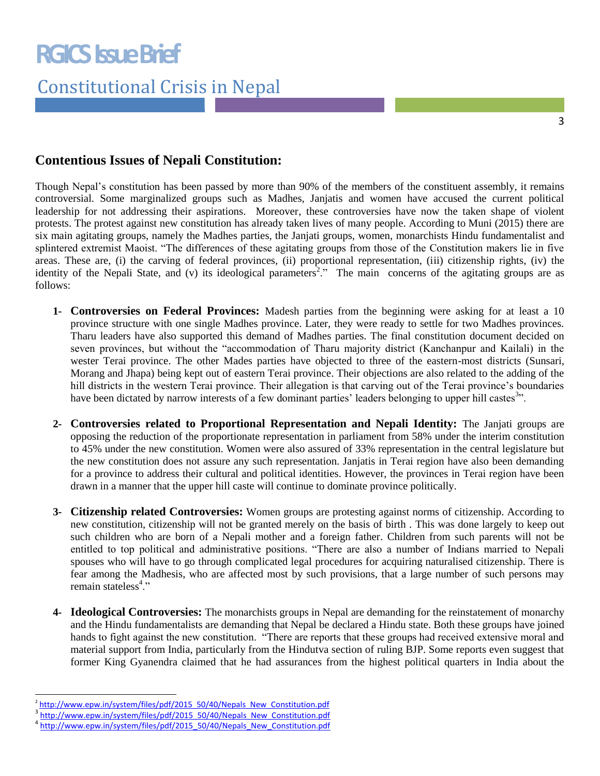## Constitutional Crisis in Nepal

### **Contentious Issues of Nepali Constitution:**

Though Nepal's constitution has been passed by more than 90% of the members of the constituent assembly, it remains controversial. Some marginalized groups such as Madhes, Janjatis and women have accused the current political leadership for not addressing their aspirations. Moreover, these controversies have now the taken shape of violent protests. The protest against new constitution has already taken lives of many people. According to Muni (2015) there are six main agitating groups, namely the Madhes parties, the Janjati groups, women, monarchists Hindu fundamentalist and splintered extremist Maoist. "The differences of these agitating groups from those of the Constitution makers lie in five areas. These are, (i) the carving of federal provinces, (ii) proportional representation, (iii) citizenship rights, (iv) the identity of the Nepali State, and (v) its ideological parameters<sup>2</sup>." The main concerns of the agitating groups are as follows:

- **1- Controversies on Federal Provinces:** Madesh parties from the beginning were asking for at least a 10 province structure with one single Madhes province. Later, they were ready to settle for two Madhes provinces. Tharu leaders have also supported this demand of Madhes parties. The final constitution document decided on seven provinces, but without the "accommodation of Tharu majority district (Kanchanpur and Kailali) in the wester Terai province. The other Mades parties have objected to three of the eastern-most districts (Sunsari, Morang and Jhapa) being kept out of eastern Terai province. Their objections are also related to the adding of the hill districts in the western Terai province. Their allegation is that carving out of the Terai province's boundaries have been dictated by narrow interests of a few dominant parties' leaders belonging to upper hill castes<sup>3</sup>".
- **2- Controversies related to Proportional Representation and Nepali Identity:** The Janjati groups are opposing the reduction of the proportionate representation in parliament from 58% under the interim constitution to 45% under the new constitution. Women were also assured of 33% representation in the central legislature but the new constitution does not assure any such representation. Janjatis in Terai region have also been demanding for a province to address their cultural and political identities. However, the provinces in Terai region have been drawn in a manner that the upper hill caste will continue to dominate province politically.
- **3- Citizenship related Controversies:** Women groups are protesting against norms of citizenship. According to new constitution, citizenship will not be granted merely on the basis of birth . This was done largely to keep out such children who are born of a Nepali mother and a foreign father. Children from such parents will not be entitled to top political and administrative positions. "There are also a number of Indians married to Nepali spouses who will have to go through complicated legal procedures for acquiring naturalised citizenship. There is fear among the Madhesis, who are affected most by such provisions, that a large number of such persons may remain stateless<sup>4</sup>."
- **4- Ideological Controversies:** The monarchists groups in Nepal are demanding for the reinstatement of monarchy and the Hindu fundamentalists are demanding that Nepal be declared a Hindu state. Both these groups have joined hands to fight against the new constitution. "There are reports that these groups had received extensive moral and material support from India, particularly from the Hindutva section of ruling BJP. Some reports even suggest that former King Gyanendra claimed that he had assurances from the highest political quarters in India about the

 $\overline{a}$ 

<sup>&</sup>lt;sup>2</sup> [http://www.epw.in/system/files/pdf/2015\\_50/40/Nepals\\_New\\_Constitution.pdf](http://www.epw.in/system/files/pdf/2015_50/40/Nepals_New_Constitution.pdf)

<sup>3</sup> [http://www.epw.in/system/files/pdf/2015\\_50/40/Nepals\\_New\\_Constitution.pdf](http://www.epw.in/system/files/pdf/2015_50/40/Nepals_New_Constitution.pdf)

<sup>4</sup> [http://www.epw.in/system/files/pdf/2015\\_50/40/Nepals\\_New\\_Constitution.pdf](http://www.epw.in/system/files/pdf/2015_50/40/Nepals_New_Constitution.pdf)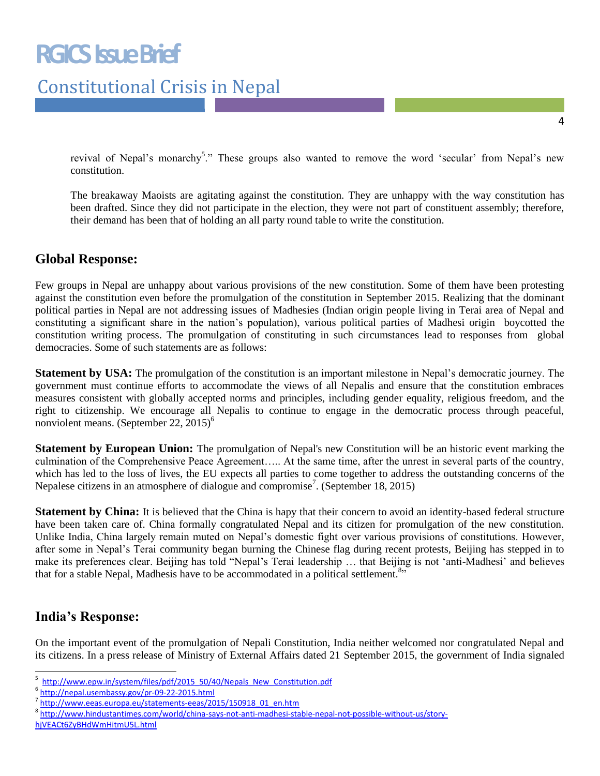### Constitutional Crisis in Nepal

revival of Nepal's monarchy<sup>5</sup>." These groups also wanted to remove the word 'secular' from Nepal's new constitution.

The breakaway Maoists are agitating against the constitution. They are unhappy with the way constitution has been drafted. Since they did not participate in the election, they were not part of constituent assembly; therefore, their demand has been that of holding an all party round table to write the constitution.

#### **Global Response:**

Few groups in Nepal are unhappy about various provisions of the new constitution. Some of them have been protesting against the constitution even before the promulgation of the constitution in September 2015. Realizing that the dominant political parties in Nepal are not addressing issues of Madhesies (Indian origin people living in Terai area of Nepal and constituting a significant share in the nation's population), various political parties of Madhesi origin boycotted the constitution writing process. The promulgation of constituting in such circumstances lead to responses from global democracies. Some of such statements are as follows:

**Statement by USA:** The promulgation of the constitution is an important milestone in Nepal's democratic journey. The government must continue efforts to accommodate the views of all Nepalis and ensure that the constitution embraces measures consistent with globally accepted norms and principles, including gender equality, religious freedom, and the right to citizenship. We encourage all Nepalis to continue to engage in the democratic process through peaceful, nonviolent means. (September 22,  $2015$ )<sup>6</sup>

**Statement by European Union:** The promulgation of Nepal's new Constitution will be an historic event marking the culmination of the Comprehensive Peace Agreement….. At the same time, after the unrest in several parts of the country, which has led to the loss of lives, the EU expects all parties to come together to address the outstanding concerns of the Nepalese citizens in an atmosphere of dialogue and compromise<sup>7</sup>. (September 18, 2015)

**Statement by China:** It is believed that the China is hapy that their concern to avoid an identity-based federal structure have been taken care of. China formally congratulated Nepal and its citizen for promulgation of the new constitution. Unlike India, China largely remain muted on Nepal's domestic fight over various provisions of constitutions. However, after some in Nepal's Terai community began burning the Chinese flag during recent protests, Beijing has stepped in to make its preferences clear. Beijing has told "Nepal's Terai leadership ... that Beijing is not 'anti-Madhesi' and believes that for a stable Nepal, Madhesis have to be accommodated in a political settlement.<sup>8</sup>"

#### **India's Response:**

On the important event of the promulgation of Nepali Constitution, India neither welcomed nor congratulated Nepal and its citizens. In a press release of Ministry of External Affairs dated 21 September 2015, the government of India signaled

[hjVEACt6ZyBHdWmHitmU5L.html](http://www.hindustantimes.com/world/china-says-not-anti-madhesi-stable-nepal-not-possible-without-us/story-hjVEACt6ZyBHdWmHitmU5L.html)

 5 http://www.epw.in/system/files/pdf/2015\_50/40/Nepals\_New\_Constitution.pdf

<sup>6</sup> <http://nepal.usembassy.gov/pr-09-22-2015.html>

<sup>&</sup>lt;sup>7</sup> [http://www.eeas.europa.eu/statements-eeas/2015/150918\\_01\\_en.htm](http://www.eeas.europa.eu/statements-eeas/2015/150918_01_en.htm)

<sup>8</sup> [http://www.hindustantimes.com/world/china-says-not-anti-madhesi-stable-nepal-not-possible-without-us/story-](http://www.hindustantimes.com/world/china-says-not-anti-madhesi-stable-nepal-not-possible-without-us/story-hjVEACt6ZyBHdWmHitmU5L.html)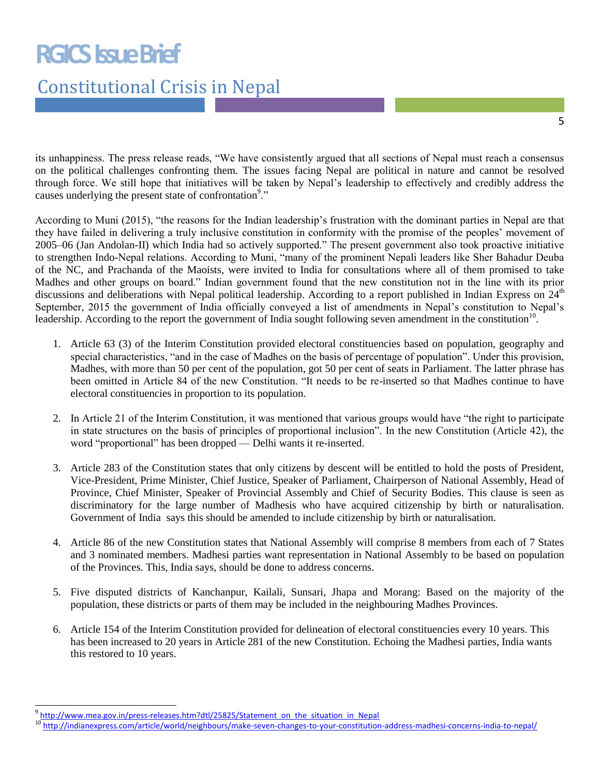# **RGICS Issue Brief**

# Constitutional Crisis in Nepal

its unhappiness. The press release reads, "We have consistently argued that all sections of Nepal must reach a consensus on the political challenges confronting them. The issues facing Nepal are political in nature and cannot be resolved through force. We still hope that initiatives will be taken by Nepal's leadership to effectively and credibly address the causes underlying the present state of confrontation<sup>9</sup>."

According to Muni (2015), "the reasons for the Indian leadership's frustration with the dominant parties in Nepal are that they have failed in delivering a truly inclusive constitution in conformity with the promise of the peoples' movement of 2005–06 (Jan Andolan-II) which India had so actively supported.‖ The present government also took proactive initiative to strengthen Indo-Nepal relations. According to Muni, "many of the prominent Nepali leaders like Sher Bahadur Deuba of the NC, and Prachanda of the Maoists, were invited to India for consultations where all of them promised to take Madhes and other groups on board." Indian government found that the new constitution not in the line with its prior discussions and deliberations with Nepal political leadership. According to a report published in Indian Express on 24<sup>th</sup> September, 2015 the government of India officially conveyed a list of amendments in Nepal's constitution to Nepal's leadership. According to the report the government of India sought following seven amendment in the constitution $10$ .

- 1. Article 63 (3) of the Interim Constitution provided electoral constituencies based on population, geography and special characteristics, "and in the case of Madhes on the basis of percentage of population". Under this provision, Madhes, with more than 50 per cent of the population, got 50 per cent of seats in Parliament. The latter phrase has been omitted in Article 84 of the new Constitution. "It needs to be re-inserted so that Madhes continue to have electoral constituencies in proportion to its population.
- 2. In Article 21 of the Interim Constitution, it was mentioned that various groups would have "the right to participate" in state structures on the basis of principles of proportional inclusion". In the new Constitution (Article 42), the word "proportional" has been dropped — Delhi wants it re-inserted.
- 3. Article 283 of the Constitution states that only citizens by descent will be entitled to hold the posts of President, Vice-President, Prime Minister, Chief Justice, Speaker of Parliament, Chairperson of National Assembly, Head of Province, Chief Minister, Speaker of Provincial Assembly and Chief of Security Bodies. This clause is seen as discriminatory for the large number of Madhesis who have acquired citizenship by birth or naturalisation. Government of India says this should be amended to include citizenship by birth or naturalisation.
- 4. Article 86 of the new Constitution states that National Assembly will comprise 8 members from each of 7 States and 3 nominated members. Madhesi parties want representation in National Assembly to be based on population of the Provinces. This, India says, should be done to address concerns.
- 5. Five disputed districts of Kanchanpur, Kailali, Sunsari, Jhapa and Morang: Based on the majority of the population, these districts or parts of them may be included in the neighbouring Madhes Provinces.
- 6. Article 154 of the Interim Constitution provided for delineation of electoral constituencies every 10 years. This has been increased to 20 years in Article 281 of the new Constitution. Echoing the Madhesi parties, India wants this restored to 10 years.

 $\overline{a}$ <sup>9</sup> [http://www.mea.gov.in/press-releases.htm?dtl/25825/Statement\\_on\\_the\\_situation\\_in\\_Nepal](http://www.mea.gov.in/press-releases.htm?dtl/25825/Statement_on_the_situation_in_Nepal)

<sup>&</sup>lt;sup>10</sup> <http://indianexpress.com/article/world/neighbours/make-seven-changes-to-your-constitution-address-madhesi-concerns-india-to-nepal/>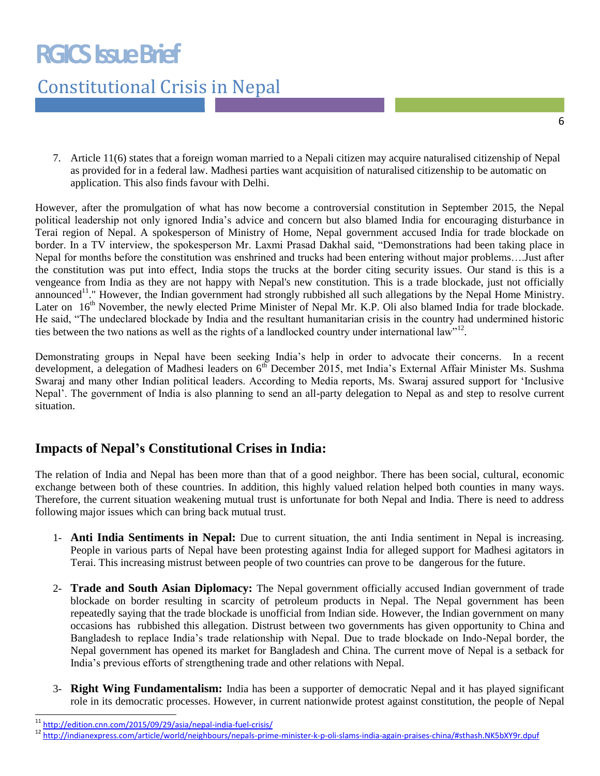# **RGICS Issue Brief**

## Constitutional Crisis in Nepal

7. Article 11(6) states that a foreign woman married to a Nepali citizen may acquire naturalised citizenship of Nepal as provided for in a federal law. Madhesi parties want acquisition of naturalised citizenship to be automatic on application. This also finds favour with Delhi.

However, after the promulgation of what has now become a controversial constitution in September 2015, the Nepal political leadership not only ignored India's advice and concern but also blamed India for encouraging disturbance in Terai region of Nepal. A spokesperson of Ministry of Home, Nepal government accused India for trade blockade on border. In a TV interview, the spokesperson Mr. Laxmi Prasad Dakhal said, "Demonstrations had been taking place in Nepal for months before the constitution was enshrined and trucks had been entering without major problems….Just after the constitution was put into effect, India stops the trucks at the border citing security issues. Our stand is this is a vengeance from India as they are not happy with Nepal's new constitution. This is a trade blockade, just not officially announced<sup>11</sup>." However, the Indian government had strongly rubbished all such allegations by the Nepal Home Ministry. Later on 16<sup>th</sup> November, the newly elected Prime Minister of Nepal Mr. K.P. Oli also blamed India for trade blockade. He said, "The undeclared blockade by India and the resultant humanitarian crisis in the country had undermined historic ties between the two nations as well as the rights of a landlocked country under international law"<sup>12</sup>.

Demonstrating groups in Nepal have been seeking India's help in order to advocate their concerns. In a recent development, a delegation of Madhesi leaders on  $6<sup>th</sup>$  December 2015, met India's External Affair Minister Ms. Sushma Swaraj and many other Indian political leaders. According to Media reports, Ms. Swaraj assured support for 'Inclusive Nepal'. The government of India is also planning to send an all-party delegation to Nepal as and step to resolve current situation.

### **Impacts of Nepal's Constitutional Crises in India:**

The relation of India and Nepal has been more than that of a good neighbor. There has been social, cultural, economic exchange between both of these countries. In addition, this highly valued relation helped both counties in many ways. Therefore, the current situation weakening mutual trust is unfortunate for both Nepal and India. There is need to address following major issues which can bring back mutual trust.

- 1- **Anti India Sentiments in Nepal:** Due to current situation, the anti India sentiment in Nepal is increasing. People in various parts of Nepal have been protesting against India for alleged support for Madhesi agitators in Terai. This increasing mistrust between people of two countries can prove to be dangerous for the future.
- 2- **Trade and South Asian Diplomacy:** The Nepal government officially accused Indian government of trade blockade on border resulting in scarcity of petroleum products in Nepal. The Nepal government has been repeatedly saying that the trade blockade is unofficial from Indian side. However, the Indian government on many occasions has rubbished this allegation. Distrust between two governments has given opportunity to China and Bangladesh to replace India's trade relationship with Nepal. Due to trade blockade on Indo-Nepal border, the Nepal government has opened its market for Bangladesh and China. The current move of Nepal is a setback for India's previous efforts of strengthening trade and other relations with Nepal.
- 3- **Right Wing Fundamentalism:** India has been a supporter of democratic Nepal and it has played significant role in its democratic processes. However, in current nationwide protest against constitution, the people of Nepal

j

<http://edition.cnn.com/2015/09/29/asia/nepal-india-fuel-crisis/>

<sup>12</sup> <http://indianexpress.com/article/world/neighbours/nepals-prime-minister-k-p-oli-slams-india-again-praises-china/#sthash.NK5bXY9r.dpuf>